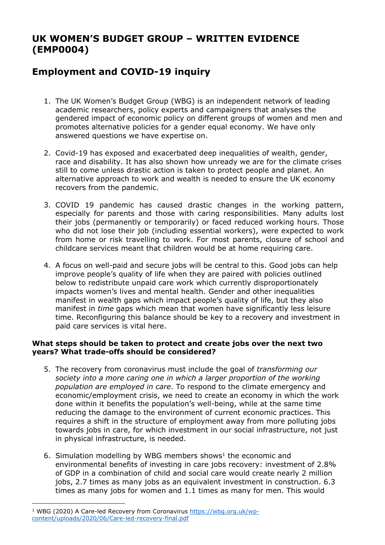# **UK WOMEN'S BUDGET GROUP – WRITTEN EVIDENCE (EMP0004)**

# **Employment and COVID-19 inquiry**

- 1. The UK Women's Budget Group (WBG) is an independent network of leading academic researchers, policy experts and campaigners that analyses the gendered impact of economic policy on different groups of women and men and promotes alternative policies for a gender equal economy. We have only answered questions we have expertise on.
- 2. Covid-19 has exposed and exacerbated deep inequalities of wealth, gender, race and disability. It has also shown how unready we are for the climate crises still to come unless drastic action is taken to protect people and planet. An alternative approach to work and wealth is needed to ensure the UK economy recovers from the pandemic.
- 3. COVID 19 pandemic has caused drastic changes in the working pattern, especially for parents and those with caring responsibilities. Many adults lost their jobs (permanently or temporarily) or faced reduced working hours. Those who did not lose their job (including essential workers), were expected to work from home or risk travelling to work. For most parents, closure of school and childcare services meant that children would be at home requiring care.
- 4. A focus on well-paid and secure jobs will be central to this. Good jobs can help improve people's quality of life when they are paired with policies outlined below to redistribute unpaid care work which currently disproportionately impacts women's lives and mental health. Gender and other inequalities manifest in wealth gaps which impact people's quality of life, but they also manifest in *time* gaps which mean that women have significantly less leisure time. Reconfiguring this balance should be key to a recovery and investment in paid care services is vital here.

## **What steps should be taken to protect and create jobs over the next two years? What trade-offs should be considered?**

- 5. The recovery from coronavirus must include the goal of *transforming our society into a more caring one in which a larger proportion of the working population are employed in care*. To respond to the climate emergency and economic/employment crisis, we need to create an economy in which the work done within it benefits the population's well-being, while at the same time reducing the damage to the environment of current economic practices. This requires a shift in the structure of employment away from more polluting jobs towards jobs in care, for which investment in our social infrastructure, not just in physical infrastructure, is needed.
- 6. Simulation modelling by WBG members shows<sup>1</sup> the economic and environmental benefits of investing in care jobs recovery: investment of 2.8% of GDP in a combination of child and social care would create nearly 2 million jobs, 2.7 times as many jobs as an equivalent investment in construction. 6.3 times as many jobs for women and 1.1 times as many for men. This would

<sup>&</sup>lt;sup>1</sup> WBG (2020) A Care-led Recovery from Coronavirus [https://wbg.org.uk/wp](https://wbg.org.uk/wp-content/uploads/2020/06/Care-led-recovery-final.pdf)[content/uploads/2020/06/Care-led-recovery-final.pdf](https://wbg.org.uk/wp-content/uploads/2020/06/Care-led-recovery-final.pdf)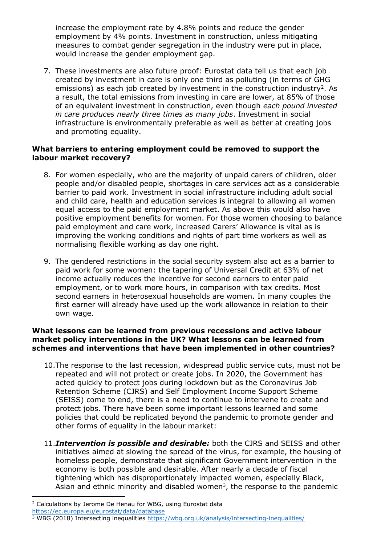increase the employment rate by 4.8% points and reduce the gender employment by 4% points. Investment in construction, unless mitigating measures to combat gender segregation in the industry were put in place, would increase the gender employment gap.

7. These investments are also future proof: Eurostat data tell us that each job created by investment in care is only one third as polluting (in terms of GHG emissions) as each job created by investment in the construction industry<sup>2</sup>. As a result, the total emissions from investing in care are lower, at 85% of those of an equivalent investment in construction, even though *each pound invested in care produces nearly three times as many jobs*. Investment in social infrastructure is environmentally preferable as well as better at creating jobs and promoting equality.

## **What barriers to entering employment could be removed to support the labour market recovery?**

- 8. For women especially, who are the majority of unpaid carers of children, older people and/or disabled people, shortages in care services act as a considerable barrier to paid work. Investment in social infrastructure including adult social and child care, health and education services is integral to allowing all women equal access to the paid employment market. As above this would also have positive employment benefits for women. For those women choosing to balance paid employment and care work, increased Carers' Allowance is vital as is improving the working conditions and rights of part time workers as well as normalising flexible working as day one right.
- 9. The gendered restrictions in the social security system also act as a barrier to paid work for some women: the tapering of Universal Credit at 63% of net income actually reduces the incentive for second earners to enter paid employment, or to work more hours, in comparison with tax credits. Most second earners in heterosexual households are women. In many couples the first earner will already have used up the work allowance in relation to their own wage.

#### **What lessons can be learned from previous recessions and active labour market policy interventions in the UK? What lessons can be learned from schemes and interventions that have been implemented in other countries?**

- 10.The response to the last recession, widespread public service cuts, must not be repeated and will not protect or create jobs. In 2020, the Government has acted quickly to protect jobs during lockdown but as the Coronavirus Job Retention Scheme (CJRS) and Self Employment Income Support Scheme (SEISS) come to end, there is a need to continue to intervene to create and protect jobs. There have been some important lessons learned and some policies that could be replicated beyond the pandemic to promote gender and other forms of equality in the labour market:
- 11.*Intervention is possible and desirable:* both the CJRS and SEISS and other initiatives aimed at slowing the spread of the virus, for example, the housing of homeless people, demonstrate that significant Government intervention in the economy is both possible and desirable. After nearly a decade of fiscal tightening which has disproportionately impacted women, especially Black, Asian and ethnic minority and disabled women<sup>3</sup>, the response to the pandemic

<sup>&</sup>lt;sup>2</sup> Calculations by Jerome De Henau for WBG, using Eurostat data

<https://ec.europa.eu/eurostat/data/database>

<sup>3</sup> WBG (2018) Intersecting inequalities <https://wbg.org.uk/analysis/intersecting-inequalities/>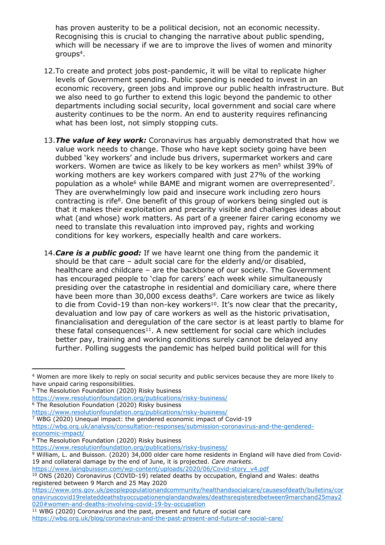has proven austerity to be a political decision, not an economic necessity. Recognising this is crucial to changing the narrative about public spending, which will be necessary if we are to improve the lives of women and minority groups<sup>4</sup>.

- 12.To create and protect jobs post-pandemic, it will be vital to replicate higher levels of Government spending. Public spending is needed to invest in an economic recovery, green jobs and improve our public health infrastructure. But we also need to go further to extend this logic beyond the pandemic to other departments including social security, local government and social care where austerity continues to be the norm. An end to austerity requires refinancing what has been lost, not simply stopping cuts.
- 13.*The value of key work:* Coronavirus has arguably demonstrated that how we value work needs to change. Those who have kept society going have been dubbed 'key workers' and include bus drivers, supermarket workers and care workers. Women are twice as likely to be key workers as men<sup>5</sup> whilst 39% of working mothers are key workers compared with just 27% of the working population as a whole<sup>6</sup> while BAME and migrant women are overrepresented<sup>7</sup>. They are overwhelmingly low paid and insecure work including zero hours contracting is rife<sup>8</sup>. One benefit of this group of workers being singled out is that it makes their exploitation and precarity visible and challenges ideas about what (and whose) work matters. As part of a greener fairer caring economy we need to translate this revaluation into improved pay, rights and working conditions for key workers, especially health and care workers.
- 14.*Care is a public good:* If we have learnt one thing from the pandemic it should be that care – adult social care for the elderly and/or disabled, healthcare and childcare – are the backbone of our society. The Government has encouraged people to 'clap for carers' each week while simultaneously presiding over the catastrophe in residential and domiciliary care, where there have been more than 30,000 excess deaths<sup>9</sup>. Care workers are twice as likely to die from Covid-19 than non-key workers<sup>10</sup>. It's now clear that the precarity, devaluation and low pay of care workers as well as the historic privatisation, financialisation and deregulation of the care sector is at least partly to blame for these fatal consequences<sup>11</sup>. A new settlement for social care which includes better pay, training and working conditions surely cannot be delayed any further. Polling suggests the pandemic has helped build political will for this

<https://www.resolutionfoundation.org/publications/risky-business/>

<https://www.resolutionfoundation.org/publications/risky-business/>

[https://www.laingbuisson.com/wp-content/uploads/2020/06/Covid-story\\_v4.pdf](https://www.laingbuisson.com/wp-content/uploads/2020/06/Covid-story_v4.pdf)

<sup>4</sup> Women are more likely to reply on social security and public services because they are more likely to have unpaid caring responsibilities.

<sup>5</sup> The Resolution Foundation (2020) Risky business

<https://www.resolutionfoundation.org/publications/risky-business/>

<sup>6</sup> The Resolution Foundation (2020) Risky business

<sup>7</sup> WBG (2020) Unequal impact: the gendered economic impact of Covid-19

[https://wbg.org.uk/analysis/consultation-responses/submission-coronavirus-and-the-gendered](https://wbg.org.uk/analysis/consultation-responses/submission-coronavirus-and-the-gendered-economic-impact/)[economic-impact/](https://wbg.org.uk/analysis/consultation-responses/submission-coronavirus-and-the-gendered-economic-impact/)

<sup>8</sup> The Resolution Foundation (2020) Risky business

<sup>9</sup> William, L. and Buisson. (2020) 34,000 older care home residents in England will have died from Covid-19 and collateral damage by the end of June, it is projected. *Care markets*.

<sup>&</sup>lt;sup>10</sup> ONS (2020) Coronavirus (COVID-19) related deaths by occupation, England and Wales: deaths registered between 9 March and 25 May 2020

[https://www.ons.gov.uk/peoplepopulationandcommunity/healthandsocialcare/causesofdeath/bulletins/cor](https://www.ons.gov.uk/peoplepopulationandcommunity/healthandsocialcare/causesofdeath/bulletins/coronaviruscovid19relateddeathsbyoccupationenglandandwales/deathsregisteredbetween9marchand25may2020#women-and-deaths-involving-covid-19-by-occupation) [onaviruscovid19relateddeathsbyoccupationenglandandwales/deathsregisteredbetween9marchand25may2](https://www.ons.gov.uk/peoplepopulationandcommunity/healthandsocialcare/causesofdeath/bulletins/coronaviruscovid19relateddeathsbyoccupationenglandandwales/deathsregisteredbetween9marchand25may2020#women-and-deaths-involving-covid-19-by-occupation) [020#women-and-deaths-involving-covid-19-by-occupation](https://www.ons.gov.uk/peoplepopulationandcommunity/healthandsocialcare/causesofdeath/bulletins/coronaviruscovid19relateddeathsbyoccupationenglandandwales/deathsregisteredbetween9marchand25may2020#women-and-deaths-involving-covid-19-by-occupation)

<sup>&</sup>lt;sup>11</sup> WBG (2020) Coronavirus and the past, present and future of social care <https://wbg.org.uk/blog/coronavirus-and-the-past-present-and-future-of-social-care/>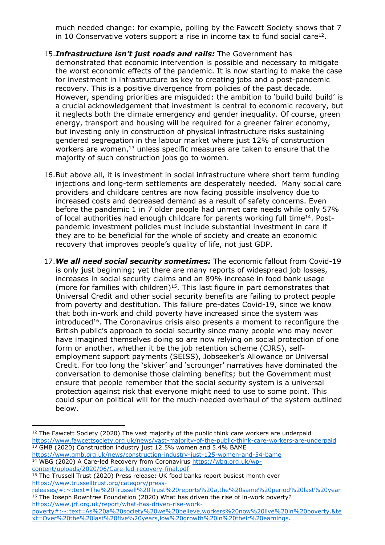much needed change: for example, polling by the Fawcett Society shows that 7 in 10 Conservative voters support a rise in income tax to fund social care $12$ .

- 15.*Infrastructure isn't just roads and rails:* The Government has demonstrated that economic intervention is possible and necessary to mitigate the worst economic effects of the pandemic. It is now starting to make the case for investment in infrastructure as key to creating jobs and a post-pandemic recovery. This is a positive divergence from policies of the past decade. However, spending priorities are misquided: the ambition to 'build build build' is a crucial acknowledgement that investment is central to economic recovery, but it neglects both the climate emergency and gender inequality. Of course, green energy, transport and housing will be required for a greener fairer economy, but investing only in construction of physical infrastructure risks sustaining gendered segregation in the labour market where just 12% of construction workers are women,<sup>13</sup> unless specific measures are taken to ensure that the majority of such construction jobs go to women.
- 16.But above all, it is investment in social infrastructure where short term funding injections and long-term settlements are desperately needed. Many social care providers and childcare centres are now facing possible insolvency due to increased costs and decreased demand as a result of safety concerns. Even before the pandemic 1 in 7 older people had unmet care needs while only 57% of local authorities had enough childcare for parents working full time<sup>14</sup>. Postpandemic investment policies must include substantial investment in care if they are to be beneficial for the whole of society and create an economic recovery that improves people's quality of life, not just GDP.
- 17.*We all need social security sometimes:* The economic fallout from Covid-19 is only just beginning; yet there are many reports of widespread job losses, increases in social security claims and an 89% increase in food bank usage (more for families with children)<sup>15</sup>. This last figure in part demonstrates that Universal Credit and other social security benefits are failing to protect people from poverty and destitution. This failure pre-dates Covid-19, since we know that both in-work and child poverty have increased since the system was introduced<sup>16</sup>. The Coronavirus crisis also presents a moment to reconfigure the British public's approach to social security since many people who may never have imagined themselves doing so are now relying on social protection of one form or another, whether it be the job retention scheme (CJRS), selfemployment support payments (SEISS), Jobseeker's Allowance or Universal Credit. For too long the 'skiver' and 'scrounger' narratives have dominated the conversation to demonise those claiming benefits; but the Government must ensure that people remember that the social security system is a universal protection against risk that everyone might need to use to some point. This could spur on political will for the much-needed overhaul of the system outlined below.

[content/uploads/2020/06/Care-led-recovery-final.pdf](https://wbg.org.uk/wp-content/uploads/2020/06/Care-led-recovery-final.pdf)

 $12$  The Fawcett Society (2020) The vast majority of the public think care workers are underpaid <https://www.fawcettsociety.org.uk/news/vast-majority-of-the-public-think-care-workers-are-underpaid> <sup>13</sup> GMB (2020) Construction industry just 12.5% women and 5.4% BAME

<https://www.gmb.org.uk/news/construction-industry-just-125-women-and-54-bame> <sup>14</sup> WBG (2020) A Care-led Recovery from Coronavirus [https://wbg.org.uk/wp-](https://wbg.org.uk/wp-content/uploads/2020/06/Care-led-recovery-final.pdf)

<sup>15</sup> The Trussell Trust (2020) Press release: UK food banks report busiest month ever [https://www.trusselltrust.org/category/press-](https://www.trusselltrust.org/category/press-releases/#:~:text=The%20Trussell%20Trust%20reports%20a,the%20same%20period%20last%20year)

[releases/#:~:text=The%20Trussell%20Trust%20reports%20a,the%20same%20period%20last%20year](https://www.trusselltrust.org/category/press-releases/#:~:text=The%20Trussell%20Trust%20reports%20a,the%20same%20period%20last%20year) <sup>16</sup> The Joseph Rowntree Foundation (2020) What has driven the rise of in-work poverty? [https://www.jrf.org.uk/report/what-has-driven-rise-work-](https://www.jrf.org.uk/report/what-has-driven-rise-work-poverty#:~:text=As%20a%20society%20we%20believe,workers%20now%20live%20in%20poverty.&text=Over%20the%20last%20five%20years,low%20growth%20in%20their%20earnings)

[poverty#:~:text=As%20a%20society%20we%20believe,workers%20now%20live%20in%20poverty.&te](https://www.jrf.org.uk/report/what-has-driven-rise-work-poverty#:~:text=As%20a%20society%20we%20believe,workers%20now%20live%20in%20poverty.&text=Over%20the%20last%20five%20years,low%20growth%20in%20their%20earnings) [xt=Over%20the%20last%20five%20years,low%20growth%20in%20their%20earnings.](https://www.jrf.org.uk/report/what-has-driven-rise-work-poverty#:~:text=As%20a%20society%20we%20believe,workers%20now%20live%20in%20poverty.&text=Over%20the%20last%20five%20years,low%20growth%20in%20their%20earnings)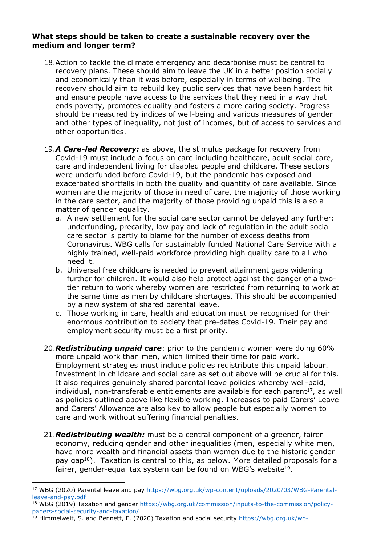#### **What steps should be taken to create a sustainable recovery over the medium and longer term?**

- 18.Action to tackle the climate emergency and decarbonise must be central to recovery plans. These should aim to leave the UK in a better position socially and economically than it was before, especially in terms of wellbeing. The recovery should aim to rebuild key public services that have been hardest hit and ensure people have access to the services that they need in a way that ends poverty, promotes equality and fosters a more caring society. Progress should be measured by indices of well-being and various measures of gender and other types of inequality, not just of incomes, but of access to services and other opportunities.
- 19.*A Care-led Recovery:* as above, the stimulus package for recovery from Covid-19 must include a focus on care including healthcare, adult social care, care and independent living for disabled people and childcare. These sectors were underfunded before Covid-19, but the pandemic has exposed and exacerbated shortfalls in both the quality and quantity of care available. Since women are the majority of those in need of care, the majority of those working in the care sector, and the majority of those providing unpaid this is also a matter of gender equality.
	- a. A new settlement for the social care sector cannot be delayed any further: underfunding, precarity, low pay and lack of regulation in the adult social care sector is partly to blame for the number of excess deaths from Coronavirus. WBG calls for sustainably funded National Care Service with a highly trained, well-paid workforce providing high quality care to all who need it.
	- b. Universal free childcare is needed to prevent attainment gaps widening further for children. It would also help protect against the danger of a twotier return to work whereby women are restricted from returning to work at the same time as men by childcare shortages. This should be accompanied by a new system of shared parental leave.
	- c. Those working in care, health and education must be recognised for their enormous contribution to society that pre-dates Covid-19. Their pay and employment security must be a first priority.
- 20.*Redistributing unpaid care*: prior to the pandemic women were doing 60% more unpaid work than men, which limited their time for paid work. Employment strategies must include policies redistribute this unpaid labour. Investment in childcare and social care as set out above will be crucial for this. It also requires genuinely shared parental leave policies whereby well-paid, individual, non-transferable entitlements are available for each parent $17$ , as well as policies outlined above like flexible working. Increases to paid Carers' Leave and Carers' Allowance are also key to allow people but especially women to care and work without suffering financial penalties.
- 21.*Redistributing wealth:* must be a central component of a greener, fairer economy, reducing gender and other inequalities (men, especially white men, have more wealth and financial assets than women due to the historic gender pay gap<sup>18</sup>). Taxation is central to this, as below. More detailed proposals for a fairer, gender-equal tax system can be found on WBG's website<sup>19</sup>.

- <sup>18</sup> WBG (2019) Taxation and gender [https://wbg.org.uk/commission/inputs-to-the-commission/policy](https://wbg.org.uk/commission/inputs-to-the-commission/policy-papers-social-security-and-taxation/)[papers-social-security-and-taxation/](https://wbg.org.uk/commission/inputs-to-the-commission/policy-papers-social-security-and-taxation/)
- <sup>19</sup> Himmelweit, S. and Bennett, F. (2020) Taxation and social security [https://wbg.org.uk/wp-](https://wbg.org.uk/wp-content/uploads/2020/03/tax-and-social-security-overview.pdf)

<sup>17</sup> WBG (2020) Parental leave and pay [https://wbg.org.uk/wp-content/uploads/2020/03/WBG-Parental](https://wbg.org.uk/wp-content/uploads/2020/03/WBG-Parental-leave-and-pay.pdf)[leave-and-pay.pdf](https://wbg.org.uk/wp-content/uploads/2020/03/WBG-Parental-leave-and-pay.pdf)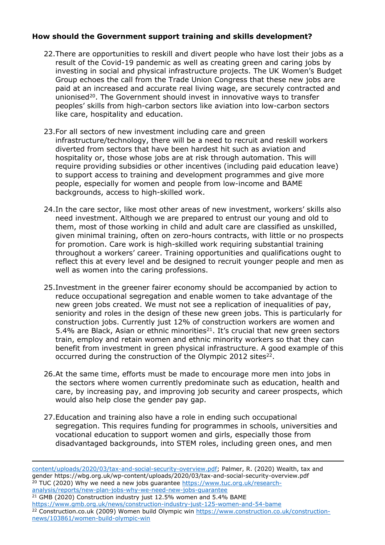# **How should the Government support training and skills development?**

- 22.There are opportunities to reskill and divert people who have lost their jobs as a result of the Covid-19 pandemic as well as creating green and caring jobs by investing in social and physical infrastructure projects. The UK Women's Budget Group echoes the call from the Trade Union Congress that these new jobs are paid at an increased and accurate real living wage, are securely contracted and unionised<sup>20</sup>. The Government should invest in innovative ways to transfer peoples' skills from high-carbon sectors like aviation into low-carbon sectors like care, hospitality and education.
- 23.For all sectors of new investment including care and green infrastructure/technology, there will be a need to recruit and reskill workers diverted from sectors that have been hardest hit such as aviation and hospitality or, those whose jobs are at risk through automation. This will require providing subsidies or other incentives (including paid education leave) to support access to training and development programmes and give more people, especially for women and people from low-income and BAME backgrounds, access to high-skilled work.
- 24.In the care sector, like most other areas of new investment, workers' skills also need investment. Although we are prepared to entrust our young and old to them, most of those working in child and adult care are classified as unskilled, given minimal training, often on zero-hours contracts, with little or no prospects for promotion. Care work is high-skilled work requiring substantial training throughout a workers' career. Training opportunities and qualifications ought to reflect this at every level and be designed to recruit younger people and men as well as women into the caring professions.
- 25.Investment in the greener fairer economy should be accompanied by action to reduce occupational segregation and enable women to take advantage of the new green jobs created. We must not see a replication of inequalities of pay, seniority and roles in the design of these new green jobs. This is particularly for construction jobs. Currently just 12% of construction workers are women and 5.4% are Black, Asian or ethnic minorities<sup>21</sup>. It's crucial that new green sectors train, employ and retain women and ethnic minority workers so that they can benefit from investment in green physical infrastructure. A good example of this occurred during the construction of the Olympic 2012 sites<sup>22</sup>.
- 26.At the same time, efforts must be made to encourage more men into jobs in the sectors where women currently predominate such as education, health and care, by increasing pay, and improving job security and career prospects, which would also help close the gender pay gap.
- 27.Education and training also have a role in ending such occupational segregation. This requires funding for programmes in schools, universities and vocational education to support women and girls, especially those from disadvantaged backgrounds, into STEM roles, including green ones, and men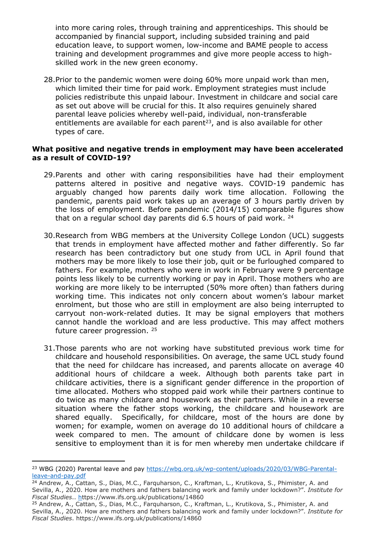into more caring roles, through training and apprenticeships. This should be accompanied by financial support, including subsided training and paid education leave, to support women, low-income and BAME people to access training and development programmes and give more people access to highskilled work in the new green economy.

28.Prior to the pandemic women were doing 60% more unpaid work than men, which limited their time for paid work. Employment strategies must include policies redistribute this unpaid labour. Investment in childcare and social care as set out above will be crucial for this. It also requires genuinely shared parental leave policies whereby well-paid, individual, non-transferable entitlements are available for each parent<sup>23</sup>, and is also available for other types of care.

#### **What positive and negative trends in employment may have been accelerated as a result of COVID-19?**

- 29.Parents and other with caring responsibilities have had their employment patterns altered in positive and negative ways. COVID-19 pandemic has arguably changed how parents daily work time allocation. Following the pandemic, parents paid work takes up an average of 3 hours partly driven by the loss of employment. Before pandemic (2014/15) comparable figures show that on a regular school day parents did  $6.5$  hours of paid work.  $^{24}$
- 30.Research from WBG members at the University College London (UCL) suggests that trends in employment have affected mother and father differently. So far research has been contradictory but one study from UCL in April found that mothers may be more likely to lose their job, quit or be furloughed compared to fathers. For example, mothers who were in work in February were 9 percentage points less likely to be currently working or pay in April. Those mothers who are working are more likely to be interrupted (50% more often) than fathers during working time. This indicates not only concern about women's labour market enrolment, but those who are still in employment are also being interrupted to carryout non-work-related duties. It may be signal employers that mothers cannot handle the workload and are less productive. This may affect mothers future career progression. <sup>25</sup>
- 31.Those parents who are not working have substituted previous work time for childcare and household responsibilities. On average, the same UCL study found that the need for childcare has increased, and parents allocate on average 40 additional hours of childcare a week. Although both parents take part in childcare activities, there is a significant gender difference in the proportion of time allocated. Mothers who stopped paid work while their partners continue to do twice as many childcare and housework as their partners. While in a reverse situation where the father stops working, the childcare and housework are shared equally. Specifically, for childcare, most of the hours are done by women; for example, women on average do 10 additional hours of childcare a week compared to men. The amount of childcare done by women is less sensitive to employment than it is for men whereby men undertake childcare if

<sup>&</sup>lt;sup>23</sup> WBG (2020) Parental leave and pay [https://wbg.org.uk/wp-content/uploads/2020/03/WBG-Parental](https://wbg.org.uk/wp-content/uploads/2020/03/WBG-Parental-leave-and-pay.pdf)[leave-and-pay.pdf](https://wbg.org.uk/wp-content/uploads/2020/03/WBG-Parental-leave-and-pay.pdf)

<sup>24</sup> Andrew, A., Cattan, S., Dias, M.C., Farquharson, C., Kraftman, L., Krutikova, S., Phimister, A. and Sevilla, A., 2020. How are mothers and fathers balancing work and family under lockdown?". *Institute for Fiscal Studies*.. <https://www.ifs.org.uk/publications/14860>

<sup>&</sup>lt;sup>25</sup> Andrew, A., Cattan, S., Dias, M.C., Farquharson, C., Kraftman, L., Krutikova, S., Phimister, A. and Sevilla, A., 2020. How are mothers and fathers balancing work and family under lockdown?". *Institute for Fiscal Studies*. <https://www.ifs.org.uk/publications/14860>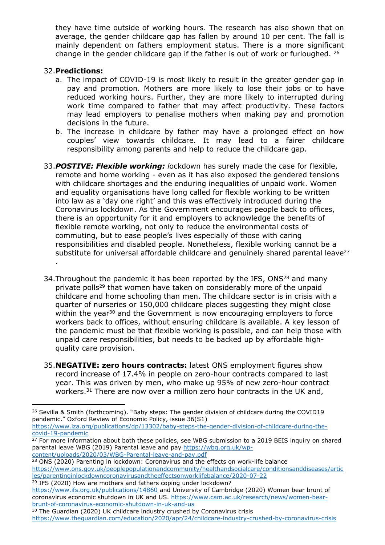they have time outside of working hours. The research has also shown that on average, the gender childcare gap has fallen by around 10 per cent. The fall is mainly dependent on fathers employment status. There is a more significant change in the gender childcare gap if the father is out of work or furloughed. <sup>26</sup>

## 32.**Predictions:**

- a. The impact of COVID-19 is most likely to result in the greater gender gap in pay and promotion. Mothers are more likely to lose their jobs or to have reduced working hours. Further, they are more likely to interrupted during work time compared to father that may affect productivity. These factors may lead employers to penalise mothers when making pay and promotion decisions in the future.
- b. The increase in childcare by father may have a prolonged effect on how couples' view towards childcare. It may lead to a fairer childcare responsibility among parents and help to reduce the childcare gap.
- 33.*POSTIVE: Flexible working: l*ockdown has surely made the case for flexible, remote and home working - even as it has also exposed the gendered tensions with childcare shortages and the enduring inequalities of unpaid work. Women and equality organisations have long called for flexible working to be written into law as a 'day one right' and this was effectively introduced during the Coronavirus lockdown. As the Government encourages people back to offices, there is an opportunity for it and employers to acknowledge the benefits of flexible remote working, not only to reduce the environmental costs of commuting, but to ease people's lives especially of those with caring responsibilities and disabled people. Nonetheless, flexible working cannot be a substitute for universal affordable childcare and genuinely shared parental leave<sup>27</sup> .
- 34. Throughout the pandemic it has been reported by the IFS, ONS<sup>28</sup> and many private polls<sup>29</sup> that women have taken on considerably more of the unpaid childcare and home schooling than men. The childcare sector is in crisis with a quarter of nurseries or 150,000 childcare places suggesting they might close within the year<sup>30</sup> and the Government is now encouraging employers to force workers back to offices, without ensuring childcare is available. A key lesson of the pandemic must be that flexible working is possible, and can help those with unpaid care responsibilities, but needs to be backed up by affordable highquality care provision.
- 35.**NEGATIVE: zero hours contracts:** latest ONS employment figures show record increase of 17.4% in people on zero-hour contracts compared to last year. This was driven by men, who make up 95% of new zero-hour contract workers.<sup>31</sup> There are now over a million zero hour contracts in the UK and,

```
covid-19-pandemic
```
<sup>29</sup> IFS (2020) How are mothers and fathers coping under lockdown?

<sup>&</sup>lt;sup>26</sup> Sevilla & Smith (forthcoming). "Baby steps: The gender division of childcare during the COVID19 pandemic." Oxford Review of Economic Policy, issue 36(S1) [https://www.iza.org/publications/dp/13302/baby-steps-the-gender-division-of-childcare-during-the-](https://www.iza.org/publications/dp/13302/baby-steps-the-gender-division-of-childcare-during-the-covid-19-pandemic)

<sup>&</sup>lt;sup>27</sup> For more information about both these policies, see WBG submission to a 2019 BEIS inquiry on shared parental leave WBG (2019) Parental leave and pay [https://wbg.org.uk/wp](https://wbg.org.uk/wp-content/uploads/2020/03/WBG-Parental-leave-and-pay.pdf)[content/uploads/2020/03/WBG-Parental-leave-and-pay.pdf](https://wbg.org.uk/wp-content/uploads/2020/03/WBG-Parental-leave-and-pay.pdf)

<sup>&</sup>lt;sup>28</sup> ONS (2020) Parenting in lockdown: Coronavirus and the effects on work-life balance [https://www.ons.gov.uk/peoplepopulationandcommunity/healthandsocialcare/conditionsanddiseases/artic](https://www.ons.gov.uk/peoplepopulationandcommunity/healthandsocialcare/conditionsanddiseases/articles/parentinginlockdowncoronavirusandtheeffectsonworklifebalance/2020-07-22) [les/parentinginlockdowncoronavirusandtheeffectsonworklifebalance/2020-07-22](https://www.ons.gov.uk/peoplepopulationandcommunity/healthandsocialcare/conditionsanddiseases/articles/parentinginlockdowncoronavirusandtheeffectsonworklifebalance/2020-07-22)

<https://www.ifs.org.uk/publications/14860> and University of Cambridge (2020) Women bear brunt of coronavirus economic shutdown in UK and US. [https://www.cam.ac.uk/research/news/women-bear](https://www.cam.ac.uk/research/news/women-bear-brunt-of-coronavirus-economic-shutdown-in-uk-and-us)[brunt-of-coronavirus-economic-shutdown-in-uk-and-us](https://www.cam.ac.uk/research/news/women-bear-brunt-of-coronavirus-economic-shutdown-in-uk-and-us)

<sup>&</sup>lt;sup>30</sup> The Guardian (2020) UK childcare industry crushed by Coronavirus crisis

<https://www.theguardian.com/education/2020/apr/24/childcare-industry-crushed-by-coronavirus-crisis>